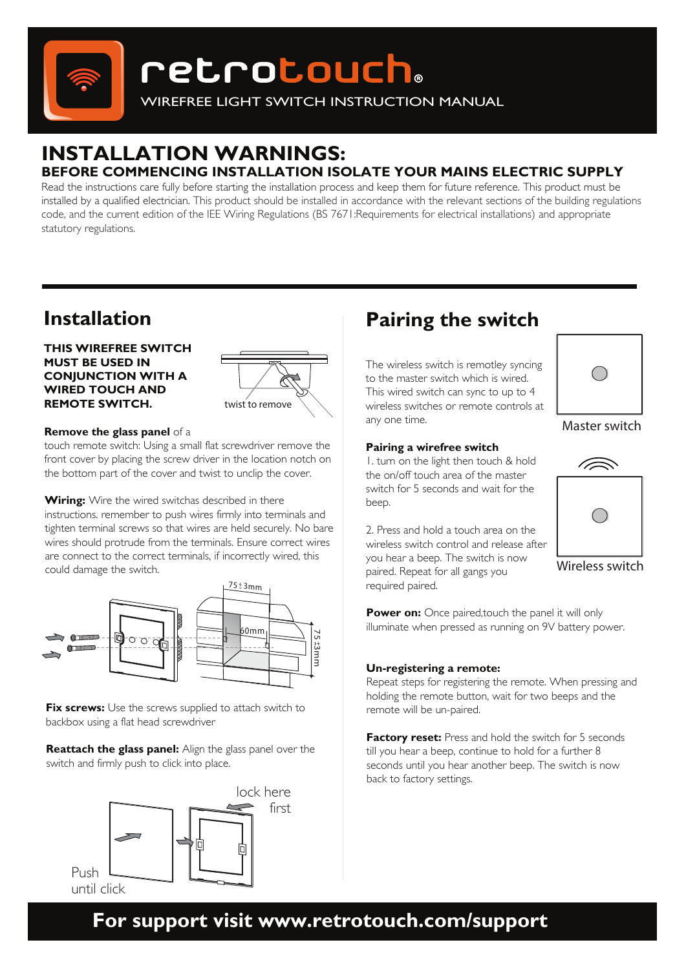

# **retrotouch**。

WIREFREE LIGHT SWITCH INSTRUCTION MANUAL

### **INSTALLATION WARNINGS: BEFORE COMMENCING INSTALLATION ISOLATE YOUR MAINS ELECTRIC SUPPLY**

Read the instructions care fully before starting the installation process and keep them for future reference. This product must be installed by a qualified electrician. This product should be installed in accordance with the relevant sections of the building regulations code, and the current edition of the IEE Wiring Regulations (BS 7671:Requirements for electrical installations) and appropriate statutory regulations.

# **Installation**

#### **THIS WIREFREE SWITCH MUST BE USED IN CONJUNCTION WITH A WIRED TOUCH AND REMOTE SWITCH.**



#### **Remove the glass panel** of a

touch remote switch: Using a small flat screwdriver remove the front cover by placing the screw driver in the location notch on the bottom part of the cover and twist to unclip the cover.

**Wiring:** Wire the wired switchas described in there instructions. remember to push wires firmly into terminals and tighten terminal screws so that wires are held securely. No bare wires should protrude from the terminals. Ensure correct wires are connect to the correct terminals, if incorrectly wired, this could damage the switch.



**Fix screws:** Use the screws supplied to attach switch to backbox using a flat head screwdriver

**Reattach the glass panel:** Align the glass panel over the switch and firmly push to click into place.



# **Pairing the switch**

The wireless switch is remotley syncing to the master switch which is wired. This wired switch can sync to up to 4 wireless switches or remote controls at any one time.

#### **Pairing a wirefree switch**

1. turn on the light then touch & hold the on/off touch area of the master switch for 5 seconds and wait for the beep.

2. Press and hold a touch area on the wireless switch control and release after you hear a beep. The switch is now paired. Repeat for all gangs you required paired.



#### Master switch



Wireless switch

**Power on:** Once paired, touch the panel it will only illuminate when pressed as running on 9V battery power.

#### **Un-registering a remote:**

Repeat steps for registering the remote. When pressing and holding the remote button, wait for two beeps and the remote will be un-paired.

**Factory reset:** Press and hold the switch for 5 seconds till you hear a beep, continue to hold for a further 8 seconds until you hear another beep. The switch is now back to factory settings.

**For support visit www.retrotouch.com/support**